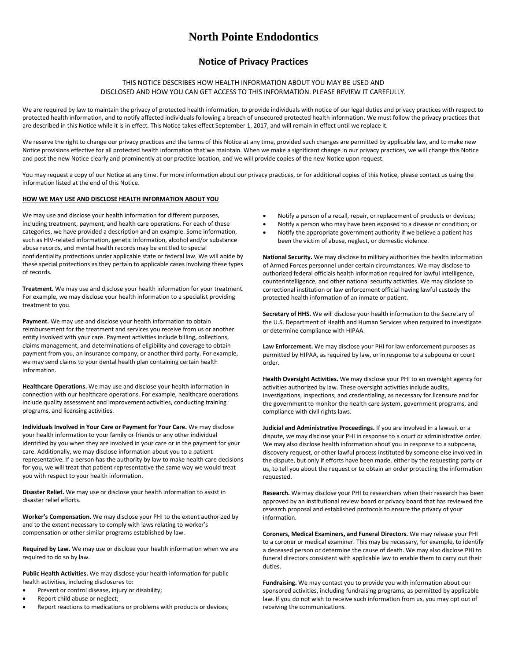# **North Pointe Endodontics**

## **Notice of Privacy Practices**

### THIS NOTICE DESCRIBES HOW HEALTH INFORMATION ABOUT YOU MAY BE USED AND DISCLOSED AND HOW YOU CAN GET ACCESS TO THIS INFORMATION. PLEASE REVIEW IT CAREFULLY.

We are required by law to maintain the privacy of protected health information, to provide individuals with notice of our legal duties and privacy practices with respect to protected health information, and to notify affected individuals following a breach of unsecured protected health information. We must follow the privacy practices that are described in this Notice while it is in effect. This Notice takes effect September 1, 2017, and will remain in effect until we replace it.

We reserve the right to change our privacy practices and the terms of this Notice at any time, provided such changes are permitted by applicable law, and to make new Notice provisions effective for all protected health information that we maintain. When we make a significant change in our privacy practices, we will change this Notice and post the new Notice clearly and prominently at our practice location, and we will provide copies of the new Notice upon request.

You may request a copy of our Notice at any time. For more information about our privacy practices, or for additional copies of this Notice, please contact us using the information listed at the end of this Notice.

#### **HOW WE MAY USE AND DISCLOSE HEALTH INFORMATION ABOUT YOU**

We may use and disclose your health information for different purposes, including treatment, payment, and health care operations. For each of these categories, we have provided a description and an example. Some information, such as HIV-related information, genetic information, alcohol and/or substance abuse records, and mental health records may be entitled to special confidentiality protections under applicable state or federal law. We will abide by these special protections as they pertain to applicable cases involving these types of records.

**Treatment.** We may use and disclose your health information for your treatment. For example, we may disclose your health information to a specialist providing treatment to you.

**Payment.** We may use and disclose your health information to obtain reimbursement for the treatment and services you receive from us or another entity involved with your care. Payment activities include billing, collections, claims management, and determinations of eligibility and coverage to obtain payment from you, an insurance company, or another third party. For example, we may send claims to your dental health plan containing certain health information.

**Healthcare Operations.** We may use and disclose your health information in connection with our healthcare operations. For example, healthcare operations include quality assessment and improvement activities, conducting training programs, and licensing activities.

**Individuals Involved in Your Care or Payment for Your Care.** We may disclose your health information to your family or friends or any other individual identified by you when they are involved in your care or in the payment for your care. Additionally, we may disclose information about you to a patient representative. If a person has the authority by law to make health care decisions for you, we will treat that patient representative the same way we would treat you with respect to your health information.

**Disaster Relief.** We may use or disclose your health information to assist in disaster relief efforts.

**Worker's Compensation.** We may disclose your PHI to the extent authorized by and to the extent necessary to comply with laws relating to worker's compensation or other similar programs established by law.

**Required by Law.** We may use or disclose your health information when we are required to do so by law.

**Public Health Activities.** We may disclose your health information for public health activities, including disclosures to:

- Prevent or control disease, injury or disability;
- Report child abuse or neglect;
- Report reactions to medications or problems with products or devices;
- Notify a person of a recall, repair, or replacement of products or devices;
- Notify a person who may have been exposed to a disease or condition; or
- Notify the appropriate government authority if we believe a patient has been the victim of abuse, neglect, or domestic violence.

**National Security.** We may disclose to military authorities the health information of Armed Forces personnel under certain circumstances. We may disclose to authorized federal officials health information required for lawful intelligence, counterintelligence, and other national security activities. We may disclose to correctional institution or law enforcement official having lawful custody the protected health information of an inmate or patient.

**Secretary of HHS.** We will disclose your health information to the Secretary of the U.S. Department of Health and Human Services when required to investigate or determine compliance with HIPAA.

**Law Enforcement.** We may disclose your PHI for law enforcement purposes as permitted by HIPAA, as required by law, or in response to a subpoena or court order.

**Health Oversight Activities.** We may disclose your PHI to an oversight agency for activities authorized by law. These oversight activities include audits, investigations, inspections, and credentialing, as necessary for licensure and for the government to monitor the health care system, government programs, and compliance with civil rights laws.

**Judicial and Administrative Proceedings.** If you are involved in a lawsuit or a dispute, we may disclose your PHI in response to a court or administrative order. We may also disclose health information about you in response to a subpoena, discovery request, or other lawful process instituted by someone else involved in the dispute, but only if efforts have been made, either by the requesting party or us, to tell you about the request or to obtain an order protecting the information requested.

**Research.** We may disclose your PHI to researchers when their research has been approved by an institutional review board or privacy board that has reviewed the research proposal and established protocols to ensure the privacy of your information.

**Coroners, Medical Examiners, and Funeral Directors.** We may release your PHI to a coroner or medical examiner. This may be necessary, for example, to identify a deceased person or determine the cause of death. We may also disclose PHI to funeral directors consistent with applicable law to enable them to carry out their duties.

**Fundraising.** We may contact you to provide you with information about our sponsored activities, including fundraising programs, as permitted by applicable law. If you do not wish to receive such information from us, you may opt out of receiving the communications.